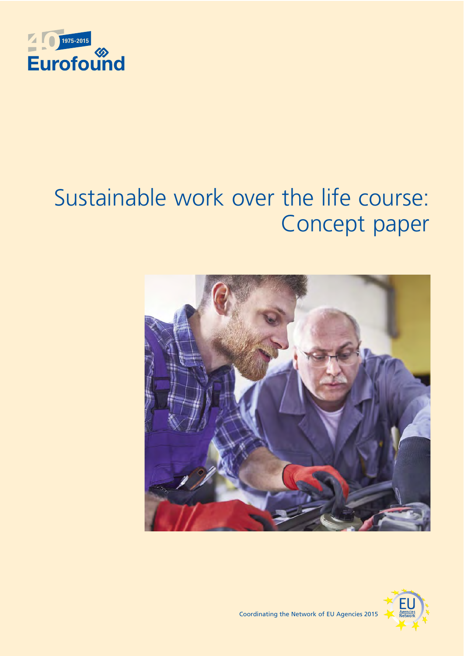

# Sustainable work over the life course: Concept paper





Coordinating the Network of EU Agencies 2015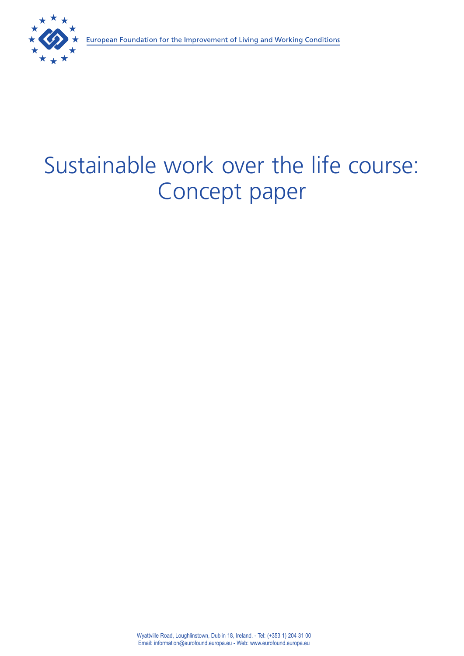# Sustainable work over the life course: Concept paper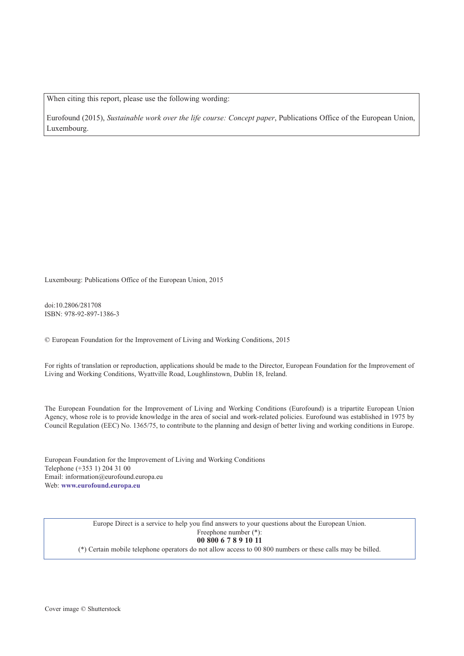When citing this report, please use the following wording:

Eurofound (2015), *Sustainable work over the life course: Concept paper*, Publications Office of the European Union, Luxembourg.

Luxembourg: Publications Office of the European Union, 2015

doi:10.2806/281708 ISBN: 978-92-897-1386-3

© European Foundation for the Improvement of Living and Working Conditions, 2015

For rights of translation or reproduction, applications should be made to the Director, European Foundation for the Improvement of Living and Working Conditions, Wyattville Road, Loughlinstown, Dublin 18, Ireland.

The European Foundation for the Improvement of Living and Working Conditions (Eurofound) is a tripartite European Union Agency, whose role is to provide knowledge in the area of social and work-related policies. Eurofound was established in 1975 by Council Regulation (EEC) No. 1365/75, to contribute to the planning and design of better living and working conditions in Europe.

European Foundation for the Improvement of Living and Working Conditions Telephone (+353 1) 204 31 00 Email: [information@eurofound.europa.eu](mailto:information@eurofound.europa.eu) Web: **[www.eurofound.europa.eu](http://www.eurofound.europa.eu)**

> Europe Direct is a service to help you find answers to your questions about the European Union. Freephone number (\*):

# **00 800 6 7 8 9 10 11**

(\*) Certain mobile telephone operators do not allow access to 00 800 numbers or these calls may be billed.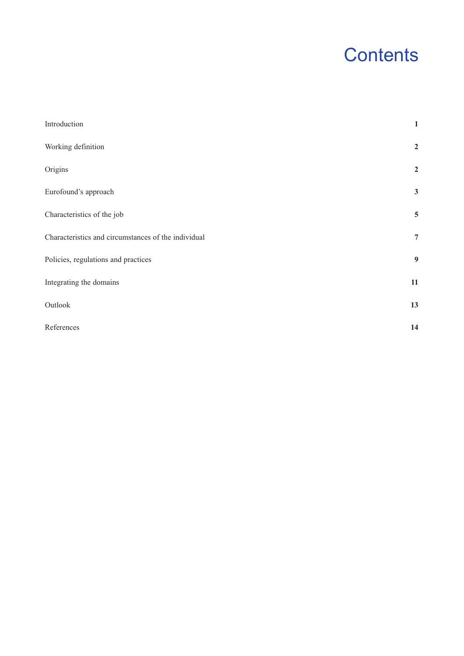# **Contents**

| Introduction                                        | $\mathbf{1}$     |
|-----------------------------------------------------|------------------|
| Working definition                                  | $\mathbf 2$      |
| Origins                                             | $\overline{2}$   |
| Eurofound's approach                                | $\mathbf{3}$     |
| Characteristics of the job                          | $\overline{5}$   |
| Characteristics and circumstances of the individual | $\overline{7}$   |
| Policies, regulations and practices                 | $\boldsymbol{9}$ |
| Integrating the domains                             | $11\,$           |
| Outlook                                             | 13               |
| References                                          | 14               |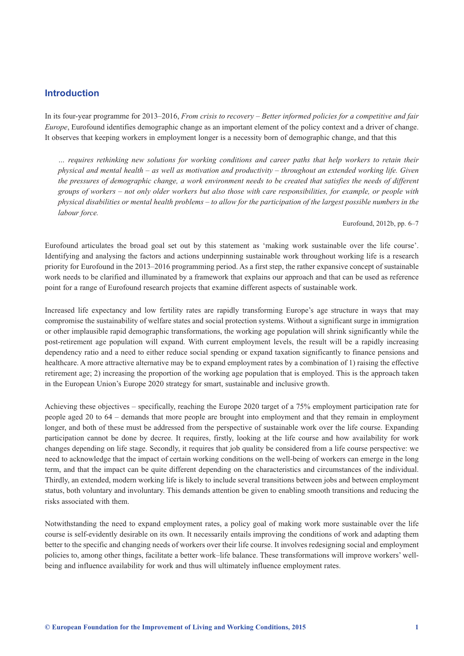# <span id="page-6-0"></span>**Introduction**

In its four-year programme for 2013–2016, *From crisis to recovery – Better informed policies for a competitive and fair Europe*, Eurofound identifies demographic change as an important element of the policy context and a driver of change. It observes that keeping workers in employment longer is a necessity born of demographic change, and that this

*… requires rethinking new solutions for working conditions and career paths that help workers to retain their physical and mental health – as well as motivation and productivity – throughout an extended working life. Given the pressures of demographic change, a work environment needs to be created that satisfies the needs of different groups of workers – not only older workers but also those with care responsibilities, for example, or people with physical disabilities or mental health problems – to allow for the participation of the largest possible numbers in the labour force.*

Eurofound, 2012b, pp. 6–7

Eurofound articulates the broad goal set out by this statement as 'making work sustainable over the life course'. Identifying and analysing the factors and actions underpinning sustainable work throughout working life is a research priority for Eurofound in the 2013–2016 programming period. As a first step, the rather expansive concept of sustainable work needs to be clarified and illuminated by a framework that explains our approach and that can be used as reference point for a range of Eurofound research projects that examine different aspects of sustainable work.

Increased life expectancy and low fertility rates are rapidly transforming Europe's age structure in ways that may compromise the sustainability of welfare states and social protection systems. Without a significant surge in immigration or other implausible rapid demographic transformations, the working age population will shrink significantly while the post-retirement age population will expand. With current employment levels, the result will be a rapidly increasing dependency ratio and a need to either reduce social spending or expand taxation significantly to finance pensions and healthcare. A more attractive alternative may be to expand employment rates by a combination of 1) raising the effective retirement age; 2) increasing the proportion of the working age population that is employed. This is the approach taken in the European Union's Europe 2020 strategy for smart, sustainable and inclusive growth.

Achieving these objectives – specifically, reaching the Europe 2020 target of a 75% employment participation rate for people aged 20 to 64 – demands that more people are brought into employment and that they remain in employment longer, and both of these must be addressed from the perspective of sustainable work over the life course. Expanding participation cannot be done by decree. It requires, firstly, looking at the life course and how availability for work changes depending on life stage. Secondly, it requires that job quality be considered from a life course perspective: we need to acknowledge that the impact of certain working conditions on the well-being of workers can emerge in the long term, and that the impact can be quite different depending on the characteristics and circumstances of the individual. Thirdly, an extended, modern working life is likely to include several transitions between jobs and between employment status, both voluntary and involuntary. This demands attention be given to enabling smooth transitions and reducing the risks associated with them.

Notwithstanding the need to expand employment rates, a policy goal of making work more sustainable over the life course is self-evidently desirable on its own. It necessarily entails improving the conditions of work and adapting them better to the specific and changing needs of workers over their life course. It involves redesigning social and employment policies to, among other things, facilitate a better work–life balance. These transformations will improve workers' wellbeing and influence availability for work and thus will ultimately influence employment rates.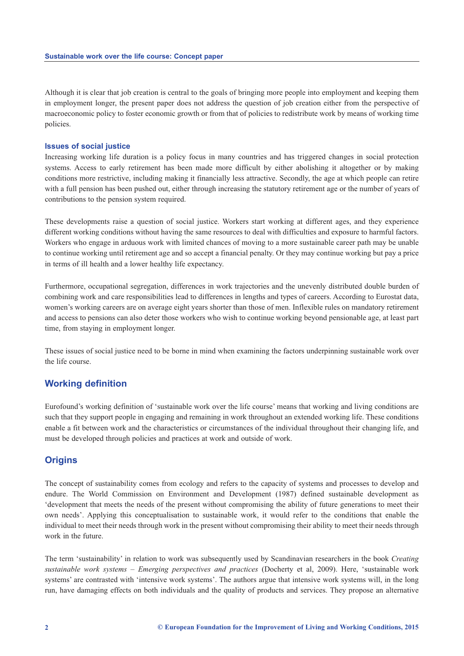<span id="page-7-0"></span>Although it is clear that job creation is central to the goals of bringing more people into employment and keeping them in employment longer, the present paper does not address the question of job creation either from the perspective of macroeconomic policy to foster economic growth or from that of policies to redistribute work by means of working time policies.

#### **Issues of social justice**

Increasing working life duration is a policy focus in many countries and has triggered changes in social protection systems. Access to early retirement has been made more difficult by either abolishing it altogether or by making conditions more restrictive, including making it financially less attractive. Secondly, the age at which people can retire with a full pension has been pushed out, either through increasing the statutory retirement age or the number of years of contributions to the pension system required.

These developments raise a question of social justice. Workers start working at different ages, and they experience different working conditions without having the same resources to deal with difficulties and exposure to harmful factors. Workers who engage in arduous work with limited chances of moving to a more sustainable career path may be unable to continue working until retirement age and so accept a financial penalty. Or they may continue working but pay a price in terms of ill health and a lower healthy life expectancy.

Furthermore, occupational segregation, differences in work trajectories and the unevenly distributed double burden of combining work and care responsibilities lead to differences in lengths and types of careers. According to Eurostat data, women's working careers are on average eight years shorter than those of men. Inflexible rules on mandatory retirement and access to pensions can also deter those workers who wish to continue working beyond pensionable age, at least part time, from staying in employment longer.

These issues of social justice need to be borne in mind when examining the factors underpinning sustainable work over the life course.

# **Working definition**

Eurofound's working definition of 'sustainable work over the life course' means that working and living conditions are such that they support people in engaging and remaining in work throughout an extended working life. These conditions enable a fit between work and the characteristics or circumstances of the individual throughout their changing life, and must be developed through policies and practices at work and outside of work.

# **Origins**

The concept of sustainability comes from ecology and refers to the capacity of systems and processes to develop and endure. The World Commission on Environment and Development (1987) defined sustainable development as 'development that meets the needs of the present without compromising the ability of future generations to meet their own needs'. Applying this conceptualisation to sustainable work, it would refer to the conditions that enable the individual to meet their needs through work in the present without compromising their ability to meet their needs through work in the future.

The term 'sustainability' in relation to work was subsequently used by Scandinavian researchers in the book *Creating sustainable work systems – Emerging perspectives and practices* (Docherty et al, 2009). Here, 'sustainable work systems' are contrasted with 'intensive work systems'. The authors argue that intensive work systems will, in the long run, have damaging effects on both individuals and the quality of products and services. They propose an alternative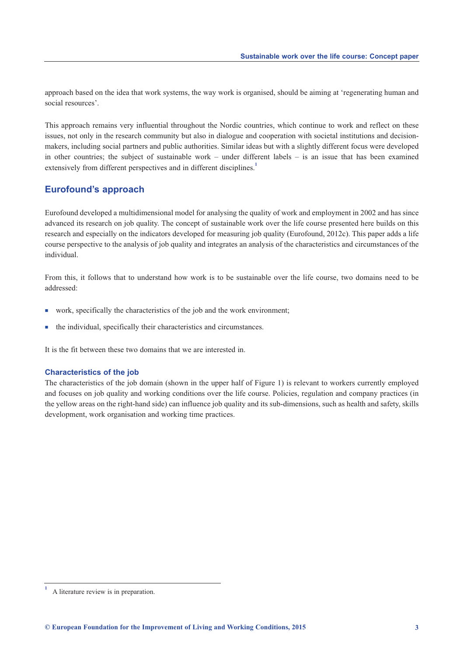<span id="page-8-0"></span>approach based on the idea that work systems, the way work is organised, should be aiming at 'regenerating human and social resources'.

This approach remains very influential throughout the Nordic countries, which continue to work and reflect on these issues, not only in the research community but also in dialogue and cooperation with societal institutions and decisionmakers, including social partners and public authorities. Similar ideas but with a slightly different focus were developed in other countries; the subject of sustainable work – under different labels – is an issue that has been examined extensively from different perspectives and in different disciplines.<sup>1</sup>

# **Eurofound's approach**

Eurofound developed a multidimensional model for analysing the quality of work and employment in 2002 and has since advanced its research on job quality. The concept of sustainable work over the life course presented here builds on this research and especially on the indicators developed for measuring job quality (Eurofound, 2012c). This paper adds a life course perspective to the analysis of job quality and integrates an analysis of the characteristics and circumstances of the individual.

From this, it follows that to understand how work is to be sustainable over the life course, two domains need to be addressed:

- $\blacksquare$  work, specifically the characteristics of the job and the work environment;
- $\blacksquare$  the individual, specifically their characteristics and circumstances.

It is the fit between these two domains that we are interested in.

#### **Characteristics of the job**

The characteristics of the job domain (shown in the upper half of Figure 1) is relevant to workers currently employed and focuses on job quality and working conditions over the life course. Policies, regulation and company practices (in the yellow areas on the right-hand side) can influence job quality and its sub-dimensions, such as health and safety, skills development, work organisation and working time practices.

**<sup>1</sup>** A literature review is in preparation.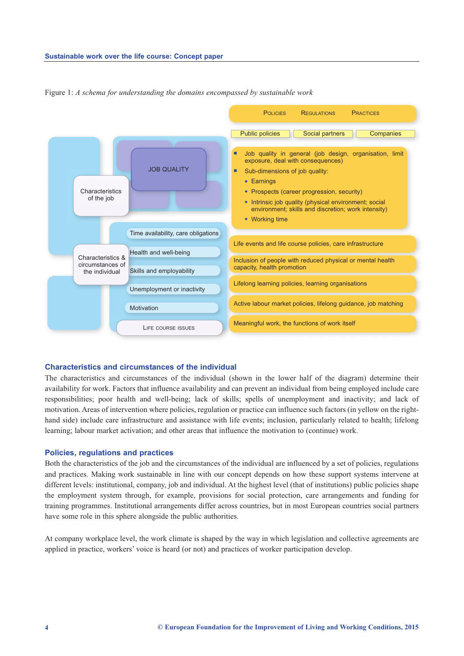

Figure 1: *A schema for understanding the domains encompassed by sustainable work*

#### **Characteristics and circumstances of the individual**

The characteristics and circumstances of the individual (shown in the lower half of the diagram) determine their availability for work. Factors that influence availability and can prevent an individual from being employed include care responsibilities; poor health and well-being; lack of skills; spells of unemployment and inactivity; and lack of motivation. Areas of intervention where policies, regulation or practice can influence such factors (in yellow on the righthand side) include care infrastructure and assistance with life events; inclusion, particularly related to health; lifelong learning; labour market activation; and other areas that influence the motivation to (continue) work.

#### **Policies, regulations and practices**

Both the characteristics of the job and the circumstances of the individual are influenced by a set of policies, regulations and practices. Making work sustainable in line with our concept depends on how these support systems intervene at different levels: institutional, company, job and individual. At the highest level (that of institutions) public policies shape the employment system through, for example, provisions for social protection, care arrangements and funding for training programmes. Institutional arrangements differ across countries, but in most European countries social partners have some role in this sphere alongside the public authorities.

At company workplace level, the work climate is shaped by the way in which legislation and collective agreements are applied in practice, workers' voice is heard (or not) and practices of worker participation develop.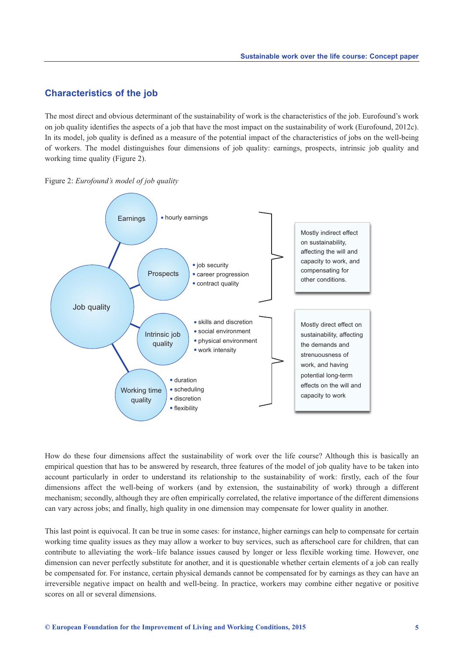# <span id="page-10-0"></span>**Characteristics of the job**

The most direct and obvious determinant of the sustainability of work is the characteristics of the job. Eurofound's work on job quality identifies the aspects of a job that have the most impact on the sustainability of work (Eurofound, 2012c). In its model, job quality is defined as a measure of the potential impact of the characteristics of jobs on the well-being of workers. The model distinguishes four dimensions of job quality: earnings, prospects, intrinsic job quality and working time quality (Figure 2).





How do these four dimensions affect the sustainability of work over the life course? Although this is basically an empirical question that has to be answered by research, three features of the model of job quality have to be taken into account particularly in order to understand its relationship to the sustainability of work: firstly, each of the four dimensions affect the well-being of workers (and by extension, the sustainability of work) through a different mechanism; secondly, although they are often empirically correlated, the relative importance of the different dimensions can vary across jobs; and finally, high quality in one dimension may compensate for lower quality in another.

This last point is equivocal. It can be true in some cases: for instance, higher earnings can help to compensate for certain working time quality issues as they may allow a worker to buy services, such as afterschool care for children, that can contribute to alleviating the work–life balance issues caused by longer or less flexible working time. However, one dimension can never perfectly substitute for another, and it is questionable whether certain elements of a job can really be compensated for. For instance, certain physical demands cannot be compensated for by earnings as they can have an irreversible negative impact on health and well-being. In practice, workers may combine either negative or positive scores on all or several dimensions.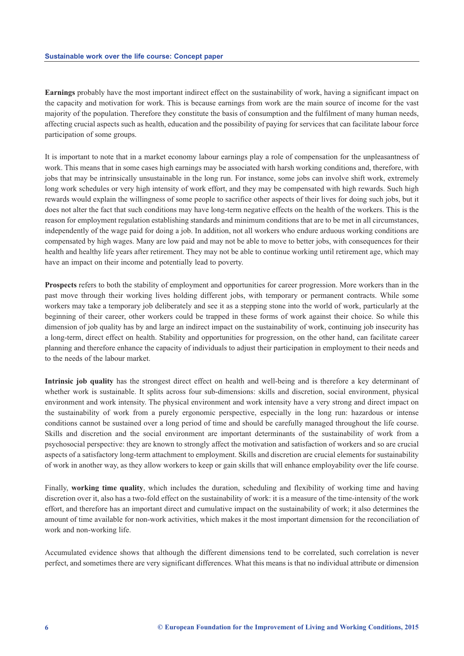**Earnings** probably have the most important indirect effect on the sustainability of work, having a significant impact on the capacity and motivation for work. This is because earnings from work are the main source of income for the vast majority of the population. Therefore they constitute the basis of consumption and the fulfilment of many human needs, affecting crucial aspects such as health, education and the possibility of paying for services that can facilitate labour force participation of some groups.

It is important to note that in a market economy labour earnings play a role of compensation for the unpleasantness of work. This means that in some cases high earnings may be associated with harsh working conditions and, therefore, with jobs that may be intrinsically unsustainable in the long run. For instance, some jobs can involve shift work, extremely long work schedules or very high intensity of work effort, and they may be compensated with high rewards. Such high rewards would explain the willingness of some people to sacrifice other aspects of their lives for doing such jobs, but it does not alter the fact that such conditions may have long-term negative effects on the health of the workers. This is the reason for employment regulation establishing standards and minimum conditions that are to be met in all circumstances, independently of the wage paid for doing a job. In addition, not all workers who endure arduous working conditions are compensated by high wages. Many are low paid and may not be able to move to better jobs, with consequences for their health and healthy life years after retirement. They may not be able to continue working until retirement age, which may have an impact on their income and potentially lead to poverty.

**Prospects** refers to both the stability of employment and opportunities for career progression. More workers than in the past move through their working lives holding different jobs, with temporary or permanent contracts. While some workers may take a temporary job deliberately and see it as a stepping stone into the world of work, particularly at the beginning of their career, other workers could be trapped in these forms of work against their choice. So while this dimension of job quality has by and large an indirect impact on the sustainability of work, continuing job insecurity has a long-term, direct effect on health. Stability and opportunities for progression, on the other hand, can facilitate career planning and therefore enhance the capacity of individuals to adjust their participation in employment to their needs and to the needs of the labour market.

**Intrinsic job quality** has the strongest direct effect on health and well-being and is therefore a key determinant of whether work is sustainable. It splits across four sub-dimensions: skills and discretion, social environment, physical environment and work intensity. The physical environment and work intensity have a very strong and direct impact on the sustainability of work from a purely ergonomic perspective, especially in the long run: hazardous or intense conditions cannot be sustained over a long period of time and should be carefully managed throughout the life course. Skills and discretion and the social environment are important determinants of the sustainability of work from a psychosocial perspective: they are known to strongly affect the motivation and satisfaction of workers and so are crucial aspects of a satisfactory long-term attachment to employment. Skills and discretion are crucial elements for sustainability of work in another way, as they allow workers to keep or gain skills that will enhance employability over the life course.

Finally, **working time quality**, which includes the duration, scheduling and flexibility of working time and having discretion over it, also has a two-fold effect on the sustainability of work: it is a measure of the time-intensity of the work effort, and therefore has an important direct and cumulative impact on the sustainability of work; it also determines the amount of time available for non-work activities, which makes it the most important dimension for the reconciliation of work and non-working life.

Accumulated evidence shows that although the different dimensions tend to be correlated, such correlation is never perfect, and sometimes there are very significant differences. What this means is that no individual attribute or dimension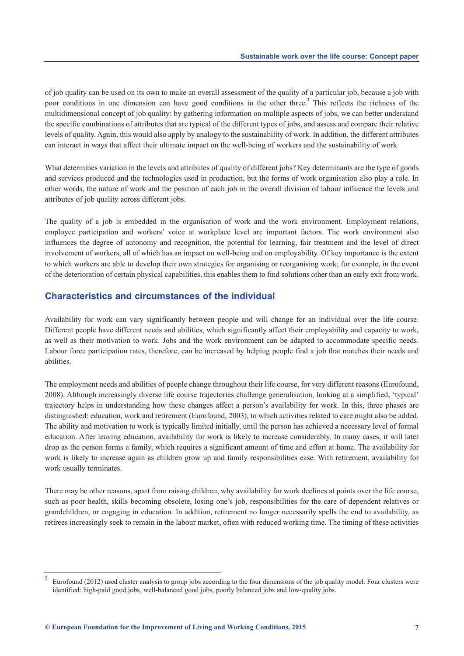<span id="page-12-0"></span>of job quality can be used on its own to make an overall assessment of the quality of a particular job, because a job with poor conditions in one dimension can have good conditions in the other three.**<sup>2</sup>** This reflects the richness of the multidimensional concept of job quality: by gathering information on multiple aspects of jobs, we can better understand the specific combinations of attributes that are typical of the different types of jobs, and assess and compare their relative levels of quality. Again, this would also apply by analogy to the sustainability of work. In addition, the different attributes can interact in ways that affect their ultimate impact on the well-being of workers and the sustainability of work.

What determines variation in the levels and attributes of quality of different jobs? Key determinants are the type of goods and services produced and the technologies used in production, but the forms of work organisation also play a role. In other words, the nature of work and the position of each job in the overall division of labour influence the levels and attributes of job quality across different jobs.

The quality of a job is embedded in the organisation of work and the work environment. Employment relations, employee participation and workers' voice at workplace level are important factors. The work environment also influences the degree of autonomy and recognition, the potential for learning, fair treatment and the level of direct involvement of workers, all of which has an impact on well-being and on employability. Of key importance is the extent to which workers are able to develop their own strategies for organising or reorganising work; for example, in the event of the deterioration of certain physical capabilities, this enables them to find solutions other than an early exit from work.

# **Characteristics and circumstances of the individual**

Availability for work can vary significantly between people and will change for an individual over the life course. Different people have different needs and abilities, which significantly affect their employability and capacity to work, as well as their motivation to work. Jobs and the work environment can be adapted to accommodate specific needs. Labour force participation rates, therefore, can be increased by helping people find a job that matches their needs and abilities.

The employment needs and abilities of people change throughout their life course, for very different reasons (Eurofound, 2008). Although increasingly diverse life course trajectories challenge generalisation, looking at a simplified, 'typical' trajectory helps in understanding how these changes affect a person's availability for work. In this, three phases are distinguished: education, work and retirement (Eurofound, 2003), to which activities related to care might also be added. The ability and motivation to work is typically limited initially, until the person has achieved a necessary level of formal education. After leaving education, availability for work is likely to increase considerably. In many cases, it will later drop as the person forms a family, which requires a significant amount of time and effort at home. The availability for work is likely to increase again as children grow up and family responsibilities ease. With retirement, availability for work usually terminates.

There may be other reasons, apart from raising children, why availability for work declines at points over the life course, such as poor health, skills becoming obsolete, losing one's job, responsibilities for the care of dependent relatives or grandchildren, or engaging in education. In addition, retirement no longer necessarily spells the end to availability, as retirees increasingly seek to remain in the labour market, often with reduced working time. The timing of these activities

**<sup>2</sup>** Eurofound (2012) used cluster analysis to group jobs according to the four dimensions of the job quality model. Four clusters were identified: high-paid good jobs, well-balanced good jobs, poorly balanced jobs and low-quality jobs.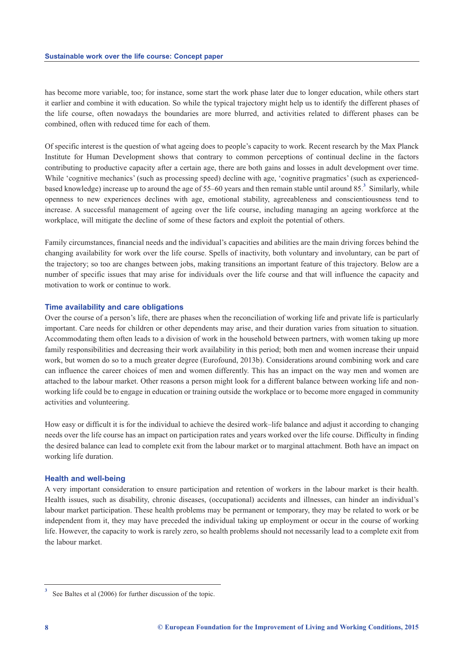has become more variable, too; for instance, some start the work phase later due to longer education, while others start it earlier and combine it with education. So while the typical trajectory might help us to identify the different phases of the life course, often nowadays the boundaries are more blurred, and activities related to different phases can be combined, often with reduced time for each of them.

Of specific interest is the question of what ageing does to people's capacity to work. Recent research by the Max Planck Institute for Human Development shows that contrary to common perceptions of continual decline in the factors contributing to productive capacity after a certain age, there are both gains and losses in adult development over time. While 'cognitive mechanics' (such as processing speed) decline with age, 'cognitive pragmatics' (such as experiencedbased knowledge) increase up to around the age of 55–60 years and then remain stable until around 85.**<sup>3</sup>** Similarly, while openness to new experiences declines with age, emotional stability, agreeableness and conscientiousness tend to increase. A successful management of ageing over the life course, including managing an ageing workforce at the workplace, will mitigate the decline of some of these factors and exploit the potential of others.

Family circumstances, financial needs and the individual's capacities and abilities are the main driving forces behind the changing availability for work over the life course. Spells of inactivity, both voluntary and involuntary, can be part of the trajectory; so too are changes between jobs, making transitions an important feature of this trajectory. Below are a number of specific issues that may arise for individuals over the life course and that will influence the capacity and motivation to work or continue to work.

#### **Time availability and care obligations**

Over the course of a person's life, there are phases when the reconciliation of working life and private life is particularly important. Care needs for children or other dependents may arise, and their duration varies from situation to situation. Accommodating them often leads to a division of work in the household between partners, with women taking up more family responsibilities and decreasing their work availability in this period; both men and women increase their unpaid work, but women do so to a much greater degree (Eurofound, 2013b). Considerations around combining work and care can influence the career choices of men and women differently. This has an impact on the way men and women are attached to the labour market. Other reasons a person might look for a different balance between working life and nonworking life could be to engage in education or training outside the workplace or to become more engaged in community activities and volunteering.

How easy or difficult it is for the individual to achieve the desired work–life balance and adjust it according to changing needs over the life course has an impact on participation rates and years worked over the life course. Difficulty in finding the desired balance can lead to complete exit from the labour market or to marginal attachment. Both have an impact on working life duration.

#### **Health and well-being**

A very important consideration to ensure participation and retention of workers in the labour market is their health. Health issues, such as disability, chronic diseases, (occupational) accidents and illnesses, can hinder an individual's labour market participation. These health problems may be permanent or temporary, they may be related to work or be independent from it, they may have preceded the individual taking up employment or occur in the course of working life. However, the capacity to work is rarely zero, so health problems should not necessarily lead to a complete exit from the labour market.

**<sup>3</sup>** See Baltes et al (2006) for further discussion of the topic.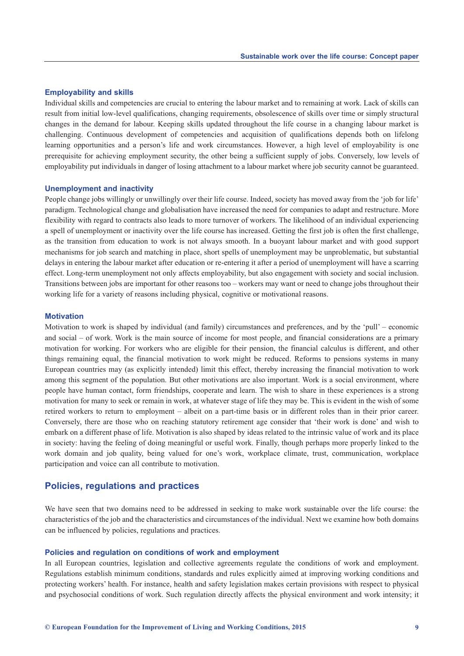#### **Employability and skills**

Individual skills and competencies are crucial to entering the labour market and to remaining at work. Lack of skills can result from initial low-level qualifications, changing requirements, obsolescence of skills over time or simply structural changes in the demand for labour. Keeping skills updated throughout the life course in a changing labour market is challenging. Continuous development of competencies and acquisition of qualifications depends both on lifelong learning opportunities and a person's life and work circumstances. However, a high level of employability is one prerequisite for achieving employment security, the other being a sufficient supply of jobs. Conversely, low levels of employability put individuals in danger of losing attachment to a labour market where job security cannot be guaranteed.

#### **Unemployment and inactivity**

People change jobs willingly or unwillingly over their life course. Indeed, society has moved away from the 'job for life' paradigm. Technological change and globalisation have increased the need for companies to adapt and restructure. More flexibility with regard to contracts also leads to more turnover of workers. The likelihood of an individual experiencing a spell of unemployment or inactivity over the life course has increased. Getting the first job is often the first challenge, as the transition from education to work is not always smooth. In a buoyant labour market and with good support mechanisms for job search and matching in place, short spells of unemployment may be unproblematic, but substantial delays in entering the labour market after education or re-entering it after a period of unemployment will have a scarring effect. Long-term unemployment not only affects employability, but also engagement with society and social inclusion. Transitions between jobs are important for other reasons too – workers may want or need to change jobs throughout their working life for a variety of reasons including physical, cognitive or motivational reasons.

#### **Motivation**

Motivation to work is shaped by individual (and family) circumstances and preferences, and by the 'pull' – economic and social – of work. Work is the main source of income for most people, and financial considerations are a primary motivation for working. For workers who are eligible for their pension, the financial calculus is different, and other things remaining equal, the financial motivation to work might be reduced. Reforms to pensions systems in many European countries may (as explicitly intended) limit this effect, thereby increasing the financial motivation to work among this segment of the population. But other motivations are also important. Work is a social environment, where people have human contact, form friendships, cooperate and learn. The wish to share in these experiences is a strong motivation for many to seek or remain in work, at whatever stage of life they may be. This is evident in the wish of some retired workers to return to employment – albeit on a part-time basis or in different roles than in their prior career. Conversely, there are those who on reaching statutory retirement age consider that 'their work is done' and wish to embark on a different phase of life. Motivation is also shaped by ideas related to the intrinsic value of work and its place in society: having the feeling of doing meaningful or useful work. Finally, though perhaps more properly linked to the work domain and job quality, being valued for one's work, workplace climate, trust, communication, workplace participation and voice can all contribute to motivation.

### **Policies, regulations and practices**

We have seen that two domains need to be addressed in seeking to make work sustainable over the life course: the characteristics of the job and the characteristics and circumstances of the individual. Next we examine how both domains can be influenced by policies, regulations and practices.

#### **Policies and regulation on conditions of work and employment**

In all European countries, legislation and collective agreements regulate the conditions of work and employment. Regulations establish minimum conditions, standards and rules explicitly aimed at improving working conditions and protecting workers' health. For instance, health and safety legislation makes certain provisions with respect to physical and psychosocial conditions of work. Such regulation directly affects the physical environment and work intensity; it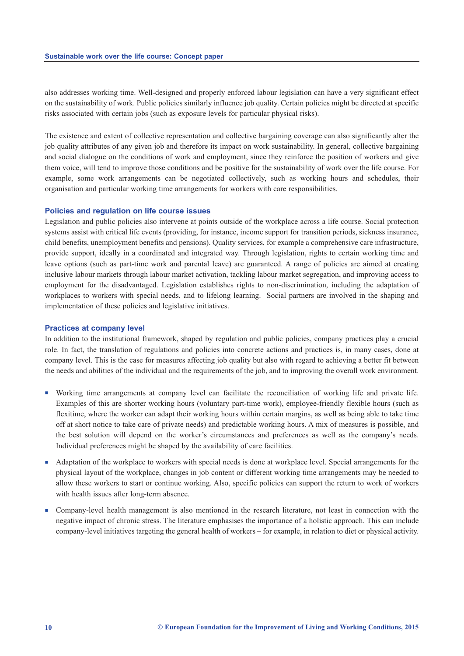<span id="page-15-0"></span>also addresses working time. Well-designed and properly enforced labour legislation can have a very significant effect on the sustainability of work. Public policies similarly influence job quality. Certain policies might be directed at specific risks associated with certain jobs (such as exposure levels for particular physical risks).

The existence and extent of collective representation and collective bargaining coverage can also significantly alter the job quality attributes of any given job and therefore its impact on work sustainability. In general, collective bargaining and social dialogue on the conditions of work and employment, since they reinforce the position of workers and give them voice, will tend to improve those conditions and be positive for the sustainability of work over the life course. For example, some work arrangements can be negotiated collectively, such as working hours and schedules, their organisation and particular working time arrangements for workers with care responsibilities.

#### **Policies and regulation on life course issues**

Legislation and public policies also intervene at points outside of the workplace across a life course. Social protection systems assist with critical life events (providing, for instance, income support for transition periods, sickness insurance, child benefits, unemployment benefits and pensions). Quality services, for example a comprehensive care infrastructure, provide support, ideally in a coordinated and integrated way. Through legislation, rights to certain working time and leave options (such as part-time work and parental leave) are guaranteed. A range of policies are aimed at creating inclusive labour markets through labour market activation, tackling labour market segregation, and improving access to employment for the disadvantaged. Legislation establishes rights to non-discrimination, including the adaptation of workplaces to workers with special needs, and to lifelong learning. Social partners are involved in the shaping and implementation of these policies and legislative initiatives.

#### **Practices at company level**

In addition to the institutional framework, shaped by regulation and public policies, company practices play a crucial role. In fact, the translation of regulations and policies into concrete actions and practices is, in many cases, done at company level. This is the case for measures affecting job quality but also with regard to achieving a better fit between the needs and abilities of the individual and the requirements of the job, and to improving the overall work environment.

- <sup>n</sup> Working time arrangements at company level can facilitate the reconciliation of working life and private life. Examples of this are shorter working hours (voluntary part-time work), employee-friendly flexible hours (such as flexitime, where the worker can adapt their working hours within certain margins, as well as being able to take time off at short notice to take care of private needs) and predictable working hours. A mix of measures is possible, and the best solution will depend on the worker's circumstances and preferences as well as the company's needs. Individual preferences might be shaped by the availability of care facilities.
- <sup>n</sup> Adaptation of the workplace to workers with special needs is done at workplace level. Special arrangements for the physical layout of the workplace, changes in job content or different working time arrangements may be needed to allow these workers to start or continue working. Also, specific policies can support the return to work of workers with health issues after long-term absence.
- <sup>n</sup> Company-level health management is also mentioned in the research literature, not least in connection with the negative impact of chronic stress. The literature emphasises the importance of a holistic approach. This can include company-level initiatives targeting the general health of workers – for example, in relation to diet or physical activity.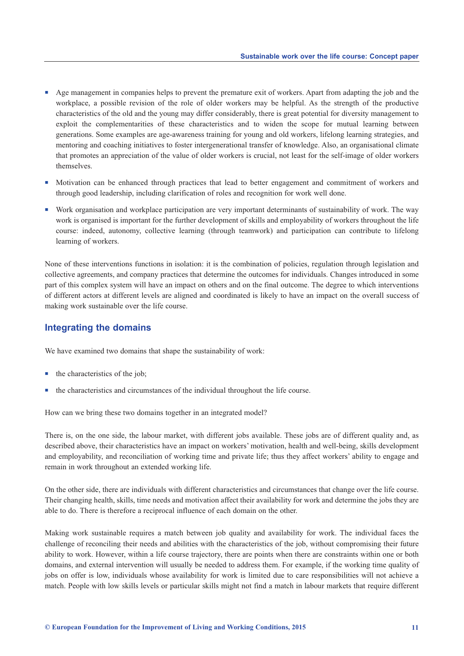- <span id="page-16-0"></span><sup>n</sup> Age management in companies helps to prevent the premature exit of workers. Apart from adapting the job and the workplace, a possible revision of the role of older workers may be helpful. As the strength of the productive characteristics of the old and the young may differ considerably, there is great potential for diversity management to exploit the complementarities of these characteristics and to widen the scope for mutual learning between generations. Some examples are age-awareness training for young and old workers, lifelong learning strategies, and mentoring and coaching initiatives to foster intergenerational transfer of knowledge. Also, an organisational climate that promotes an appreciation of the value of older workers is crucial, not least for the self-image of older workers themselves.
- n Motivation can be enhanced through practices that lead to better engagement and commitment of workers and through good leadership, including clarification of roles and recognition for work well done.
- <sup>n</sup> Work organisation and workplace participation are very important determinants of sustainability of work. The way work is organised is important for the further development of skills and employability of workers throughout the life course: indeed, autonomy, collective learning (through teamwork) and participation can contribute to lifelong learning of workers.

None of these interventions functions in isolation: it is the combination of policies, regulation through legislation and collective agreements, and company practices that determine the outcomes for individuals. Changes introduced in some part of this complex system will have an impact on others and on the final outcome. The degree to which interventions of different actors at different levels are aligned and coordinated is likely to have an impact on the overall success of making work sustainable over the life course.

# **Integrating the domains**

We have examined two domains that shape the sustainability of work:

- $\blacksquare$  the characteristics of the job;
- $\blacksquare$  the characteristics and circumstances of the individual throughout the life course.

How can we bring these two domains together in an integrated model?

There is, on the one side, the labour market, with different jobs available. These jobs are of different quality and, as described above, their characteristics have an impact on workers' motivation, health and well-being, skills development and employability, and reconciliation of working time and private life; thus they affect workers' ability to engage and remain in work throughout an extended working life.

On the other side, there are individuals with different characteristics and circumstances that change over the life course. Their changing health, skills, time needs and motivation affect their availability for work and determine the jobs they are able to do. There is therefore a reciprocal influence of each domain on the other.

Making work sustainable requires a match between job quality and availability for work. The individual faces the challenge of reconciling their needs and abilities with the characteristics of the job, without compromising their future ability to work. However, within a life course trajectory, there are points when there are constraints within one or both domains, and external intervention will usually be needed to address them. For example, if the working time quality of jobs on offer is low, individuals whose availability for work is limited due to care responsibilities will not achieve a match. People with low skills levels or particular skills might not find a match in labour markets that require different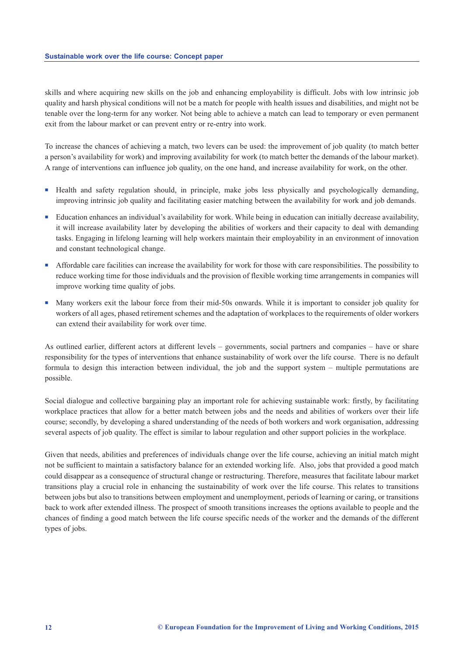skills and where acquiring new skills on the job and enhancing employability is difficult. Jobs with low intrinsic job quality and harsh physical conditions will not be a match for people with health issues and disabilities, and might not be tenable over the long-term for any worker. Not being able to achieve a match can lead to temporary or even permanent exit from the labour market or can prevent entry or re-entry into work.

To increase the chances of achieving a match, two levers can be used: the improvement of job quality (to match better a person's availability for work) and improving availability for work (to match better the demands of the labour market). A range of interventions can influence job quality, on the one hand, and increase availability for work, on the other.

- <sup>n</sup> Health and safety regulation should, in principle, make jobs less physically and psychologically demanding, improving intrinsic job quality and facilitating easier matching between the availability for work and job demands.
- <sup>n</sup> Education enhances an individual's availability for work. While being in education can initially decrease availability, it will increase availability later by developing the abilities of workers and their capacity to deal with demanding tasks. Engaging in lifelong learning will help workers maintain their employability in an environment of innovation and constant technological change.
- <sup>n</sup> Affordable care facilities can increase the availability for work for those with care responsibilities. The possibility to reduce working time for those individuals and the provision of flexible working time arrangements in companies will improve working time quality of jobs.
- n Many workers exit the labour force from their mid-50s onwards. While it is important to consider job quality for workers of all ages, phased retirement schemes and the adaptation of workplaces to the requirements of older workers can extend their availability for work over time.

As outlined earlier, different actors at different levels – governments, social partners and companies – have or share responsibility for the types of interventions that enhance sustainability of work over the life course. There is no default formula to design this interaction between individual, the job and the support system – multiple permutations are possible.

Social dialogue and collective bargaining play an important role for achieving sustainable work: firstly, by facilitating workplace practices that allow for a better match between jobs and the needs and abilities of workers over their life course; secondly, by developing a shared understanding of the needs of both workers and work organisation, addressing several aspects of job quality. The effect is similar to labour regulation and other support policies in the workplace.

Given that needs, abilities and preferences of individuals change over the life course, achieving an initial match might not be sufficient to maintain a satisfactory balance for an extended working life. Also, jobs that provided a good match could disappear as a consequence of structural change or restructuring. Therefore, measures that facilitate labour market transitions play a crucial role in enhancing the sustainability of work over the life course. This relates to transitions between jobs but also to transitions between employment and unemployment, periods of learning or caring, or transitions back to work after extended illness. The prospect of smooth transitions increases the options available to people and the chances of finding a good match between the life course specific needs of the worker and the demands of the different types of jobs.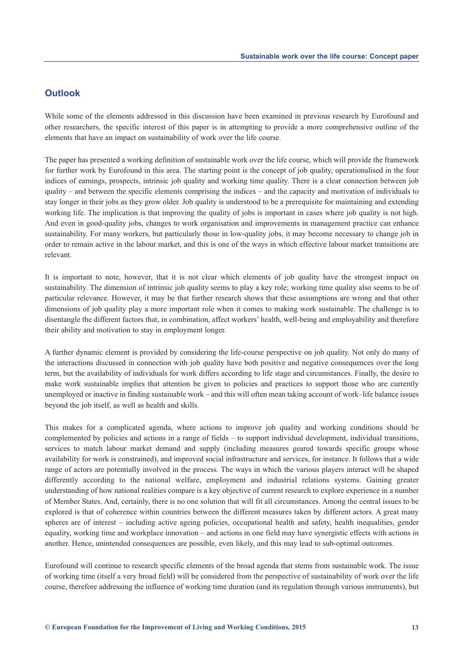# <span id="page-18-0"></span>**Outlook**

While some of the elements addressed in this discussion have been examined in previous research by Eurofound and other researchers, the specific interest of this paper is in attempting to provide a more comprehensive outline of the elements that have an impact on sustainability of work over the life course.

The paper has presented a working definition of sustainable work over the life course, which will provide the framework for further work by Eurofound in this area. The starting point is the concept of job quality, operationalised in the four indices of earnings, prospects, intrinsic job quality and working time quality. There is a clear connection between job quality – and between the specific elements comprising the indices – and the capacity and motivation of individuals to stay longer in their jobs as they grow older. Job quality is understood to be a prerequisite for maintaining and extending working life. The implication is that improving the quality of jobs is important in cases where job quality is not high. And even in good-quality jobs, changes to work organisation and improvements in management practice can enhance sustainability. For many workers, but particularly those in low-quality jobs, it may become necessary to change job in order to remain active in the labour market, and this is one of the ways in which effective labour market transitions are relevant.

It is important to note, however, that it is not clear which elements of job quality have the strongest impact on sustainability. The dimension of intrinsic job quality seems to play a key role; working time quality also seems to be of particular relevance. However, it may be that further research shows that these assumptions are wrong and that other dimensions of job quality play a more important role when it comes to making work sustainable. The challenge is to disentangle the different factors that, in combination, affect workers' health, well-being and employability and therefore their ability and motivation to stay in employment longer.

A further dynamic element is provided by considering the life-course perspective on job quality. Not only do many of the interactions discussed in connection with job quality have both positive and negative consequences over the long term, but the availability of individuals for work differs according to life stage and circumstances. Finally, the desire to make work sustainable implies that attention be given to policies and practices to support those who are currently unemployed or inactive in finding sustainable work – and this will often mean taking account of work–life balance issues beyond the job itself, as well as health and skills.

This makes for a complicated agenda, where actions to improve job quality and working conditions should be complemented by policies and actions in a range of fields – to support individual development, individual transitions, services to match labour market demand and supply (including measures geared towards specific groups whose availability for work is constrained), and improved social infrastructure and services, for instance. It follows that a wide range of actors are potentially involved in the process. The ways in which the various players interact will be shaped differently according to the national welfare, employment and industrial relations systems. Gaining greater understanding of how national realities compare is a key objective of current research to explore experience in a number of Member States. And, certainly, there is no one solution that will fit all circumstances. Among the central issues to be explored is that of coherence within countries between the different measures taken by different actors. A great many spheres are of interest – including active ageing policies, occupational health and safety, health inequalities, gender equality, working time and workplace innovation – and actions in one field may have synergistic effects with actions in another. Hence, unintended consequences are possible, even likely, and this may lead to sub-optimal outcomes.

Eurofound will continue to research specific elements of the broad agenda that stems from sustainable work. The issue of working time (itself a very broad field) will be considered from the perspective of sustainability of work over the life course, therefore addressing the influence of working time duration (and its regulation through various instruments), but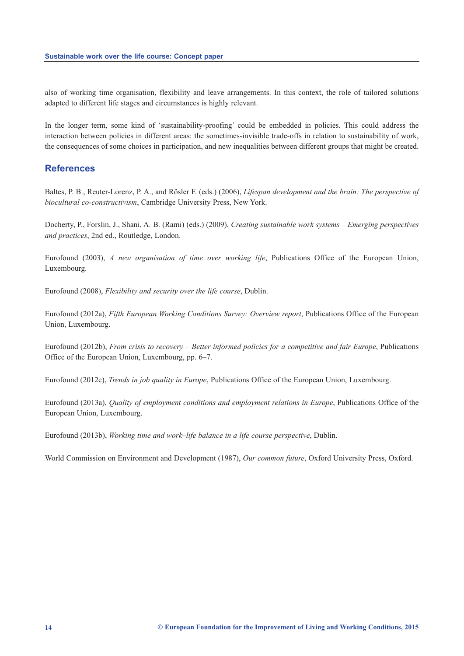<span id="page-19-0"></span>also of working time organisation, flexibility and leave arrangements. In this context, the role of tailored solutions adapted to different life stages and circumstances is highly relevant.

In the longer term, some kind of 'sustainability-proofing' could be embedded in policies. This could address the interaction between policies in different areas: the sometimes-invisible trade-offs in relation to sustainability of work, the consequences of some choices in participation, and new inequalities between different groups that might be created.

### **References**

Baltes, P. B., Reuter-Lorenz, P. A., and Rösler F. (eds.) (2006), *Lifespan development and the brain: The perspective of biocultural co-constructivism*, Cambridge University Press, New York.

Docherty, P., Forslin, J., Shani, A. B. (Rami) (eds.) (2009), *Creating sustainable work systems – Emerging perspectives and practices*, 2nd ed., Routledge, London.

Eurofound (2003), *A new organisation of time over working life*, Publications Office of the European Union, Luxembourg.

Eurofound (2008), *Flexibility and security over the life course*, Dublin.

Eurofound (2012a), *Fifth European Working Conditions Survey: Overview report*, Publications Office of the European Union, Luxembourg.

Eurofound (2012b), *From crisis to recovery – Better informed policies for a competitive and fair Europe*, Publications Office of the European Union, Luxembourg, pp. 6–7.

Eurofound (2012c), *Trends in job quality in Europe*, Publications Office of the European Union, Luxembourg.

Eurofound (2013a), *Quality of employment conditions and employment relations in Europe*, Publications Office of the European Union, Luxembourg.

Eurofound (2013b), *Working time and work–life balance in a life course perspective*, Dublin.

World Commission on Environment and Development (1987), *Our common future*, Oxford University Press, Oxford.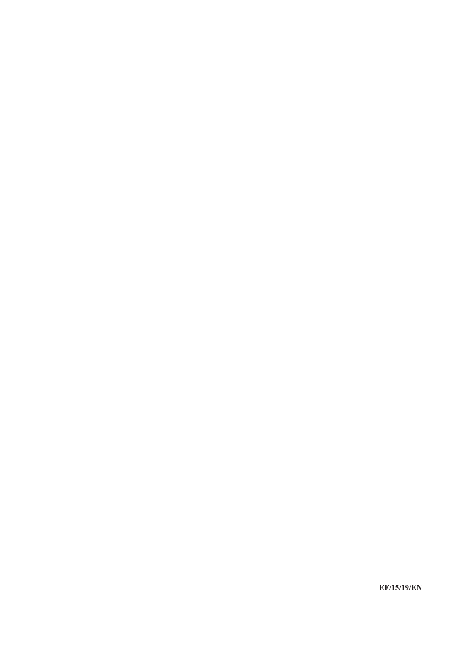**EF/15/19/EN**